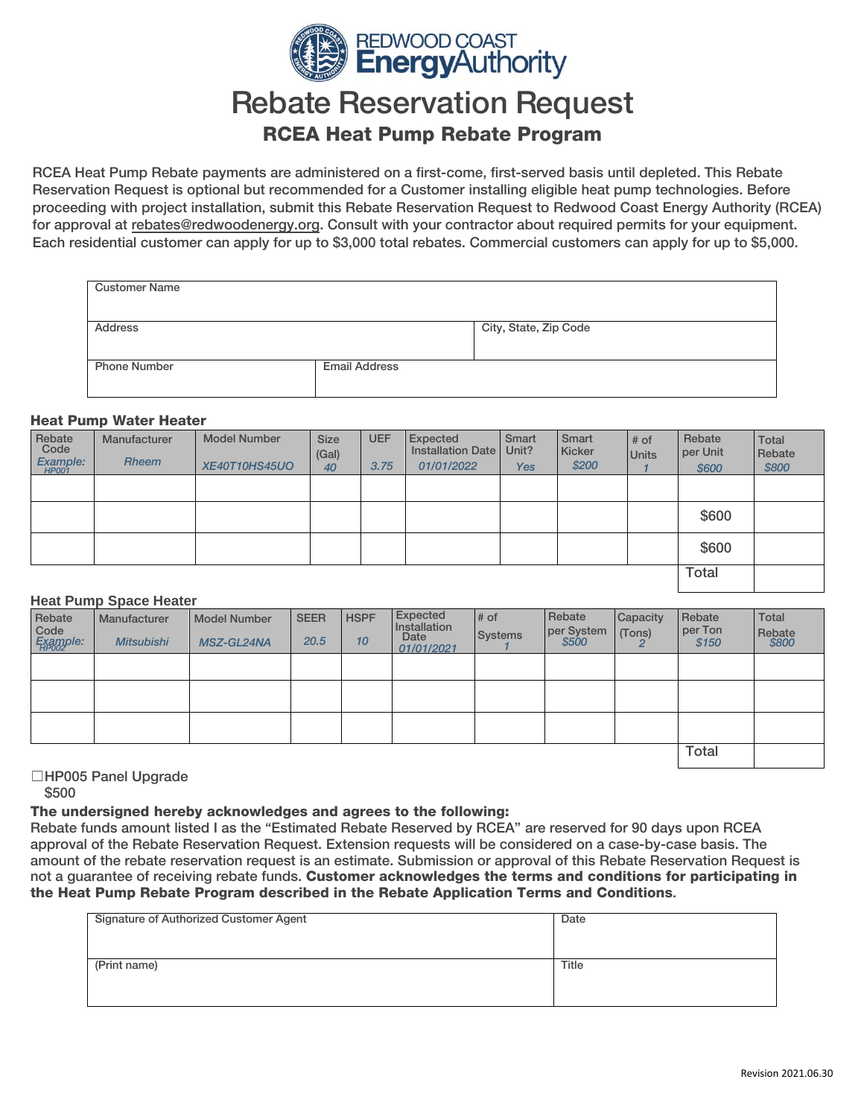

# Rebate Reservation Request RCEA Heat Pump Rebate Program

RCEA Heat Pump Rebate payments are administered on a first-come, first-served basis until depleted. This Rebate Reservation Request is optional but recommended for a Customer installing eligible heat pump technologies. Before proceeding with project installation, submit this Rebate Reservation Request to Redwood Coast Energy Authority (RCEA) for approval at rebates@redwoodenergy.org. Consult with your contractor about required permits for your equipment. [Each residential customer ca](mailto:rebates@redwoodenergy.org)n apply for up to \$3,000 total rebates. Commercial customers can apply for up to \$5,000.

| <b>Customer Name</b> |                      |                       |
|----------------------|----------------------|-----------------------|
| Address              |                      | City, State, Zip Code |
| <b>Phone Number</b>  | <b>Email Address</b> |                       |

#### Heat Pump Water Heater

| Rebate<br>Code<br>Example:<br>HP001 | Manufacturer<br><b>Rheem</b> | <b>Model Number</b><br><b>XE40T10HS45UO</b> | <b>Size</b><br>(Gal)<br>40 | <b>UEF</b><br>3.75 | Expected<br><b>Installation Date</b><br>01/01/2022 | Smart<br>Unit?<br><b>Yes</b> | Smart<br>Kicker<br>\$200 | # of<br><b>Units</b> | Rebate<br>per Unit<br>\$600 | Total<br>Rebate<br>\$800 |
|-------------------------------------|------------------------------|---------------------------------------------|----------------------------|--------------------|----------------------------------------------------|------------------------------|--------------------------|----------------------|-----------------------------|--------------------------|
|                                     |                              |                                             |                            |                    |                                                    |                              |                          |                      |                             |                          |
|                                     |                              |                                             |                            |                    |                                                    |                              |                          |                      | \$600                       |                          |
|                                     |                              |                                             |                            |                    |                                                    |                              |                          |                      | \$600                       |                          |
|                                     |                              |                                             |                            |                    |                                                    |                              | <b>Total</b>             |                      |                             |                          |

### **Heat Pump Space Heater**

| ------------     |                   |                     |             |             |                          |                |                      |          |                   |                 |
|------------------|-------------------|---------------------|-------------|-------------|--------------------------|----------------|----------------------|----------|-------------------|-----------------|
| Rebate           | Manufacturer      | <b>Model Number</b> | <b>SEER</b> | <b>HSPF</b> | Expected<br>Installation | $#$ of         | Rebate<br>per System | Capacity | Rebate<br>per Ton | Total           |
| Code<br>Example: | <b>Mitsubishi</b> | MSZ-GL24NA          | 20.5        | 10          | Date<br>01/01/2021       | <b>Systems</b> | \$500                | (Tons)   | \$150             | Rebate<br>\$800 |
|                  |                   |                     |             |             |                          |                |                      |          |                   |                 |
|                  |                   |                     |             |             |                          |                |                      |          |                   |                 |
|                  |                   |                     |             |             |                          |                |                      |          |                   |                 |
|                  |                   |                     |             |             |                          |                |                      |          |                   |                 |
|                  |                   |                     |             |             |                          |                |                      |          |                   |                 |
|                  |                   |                     |             |             |                          |                | <b>Total</b>         |          |                   |                 |

#### ☐HP005 Panel Upgrade

\$500

The undersigned hereby acknowledges and agrees to the following:

Rebate funds amount listed I as the "Estimated Rebate Reserved by RCEA" are reserved for 90 days upon RCEA approval of the Rebate Reservation Request. Extension requests will be considered on a case-by-case basis. The amount of the rebate reservation request is an estimate. Submission or approval of this Rebate Reservation Request is not a guarantee of receiving rebate funds. Customer acknowledges the terms and conditions for participating in the Heat Pump Rebate Program described in the Rebate Application Terms and Conditions.

| Signature of Authorized Customer Agent | Date  |
|----------------------------------------|-------|
|                                        |       |
|                                        |       |
| (Print name)                           | Title |
|                                        |       |
|                                        |       |